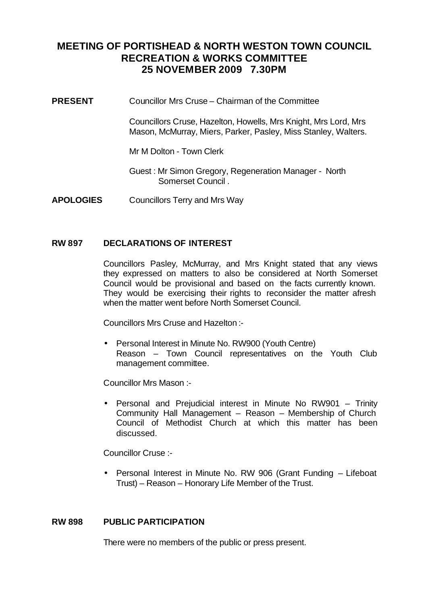## **MEETING OF PORTISHEAD & NORTH WESTON TOWN COUNCIL RECREATION & WORKS COMMITTEE 25 NOVEMBER 2009 7.30PM**

**PRESENT** Councillor Mrs Cruse – Chairman of the Committee

Councillors Cruse, Hazelton, Howells, Mrs Knight, Mrs Lord, Mrs Mason, McMurray, Miers, Parker, Pasley, Miss Stanley, Walters.

Mr M Dolton - Town Clerk

Guest : Mr Simon Gregory, Regeneration Manager - North Somerset Council .

**APOLOGIES** Councillors Terry and Mrs Way

#### **RW 897 DECLARATIONS OF INTEREST**

Councillors Pasley, McMurray, and Mrs Knight stated that any views they expressed on matters to also be considered at North Somerset Council would be provisional and based on the facts currently known. They would be exercising their rights to reconsider the matter afresh when the matter went before North Somerset Council.

Councillors Mrs Cruse and Hazelton :-

• Personal Interest in Minute No. RW900 (Youth Centre) Reason – Town Council representatives on the Youth Club management committee.

Councillor Mrs Mason :-

• Personal and Prejudicial interest in Minute No RW901 – Trinity Community Hall Management – Reason – Membership of Church Council of Methodist Church at which this matter has been discussed.

Councillor Cruse :-

• Personal Interest in Minute No. RW 906 (Grant Funding – Lifeboat Trust) – Reason – Honorary Life Member of the Trust.

#### **RW 898 PUBLIC PARTICIPATION**

There were no members of the public or press present.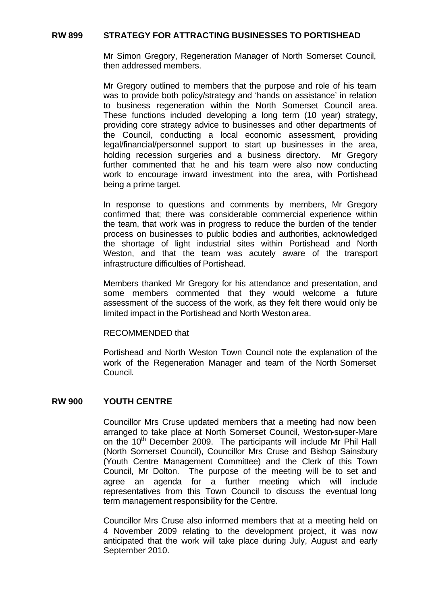#### **RW 899 STRATEGY FOR ATTRACTING BUSINESSES TO PORTISHEAD**

Mr Simon Gregory, Regeneration Manager of North Somerset Council, then addressed members.

Mr Gregory outlined to members that the purpose and role of his team was to provide both policy/strategy and 'hands on assistance' in relation to business regeneration within the North Somerset Council area. These functions included developing a long term (10 year) strategy, providing core strategy advice to businesses and other departments of the Council, conducting a local economic assessment, providing legal/financial/personnel support to start up businesses in the area, holding recession surgeries and a business directory. Mr Gregory further commented that he and his team were also now conducting work to encourage inward investment into the area, with Portishead being a prime target.

In response to questions and comments by members, Mr Gregory confirmed that; there was considerable commercial experience within the team, that work was in progress to reduce the burden of the tender process on businesses to public bodies and authorities, acknowledged the shortage of light industrial sites within Portishead and North Weston, and that the team was acutely aware of the transport infrastructure difficulties of Portishead.

Members thanked Mr Gregory for his attendance and presentation, and some members commented that they would welcome a future assessment of the success of the work, as they felt there would only be limited impact in the Portishead and North Weston area.

#### RECOMMENDED that

Portishead and North Weston Town Council note the explanation of the work of the Regeneration Manager and team of the North Somerset Council.

#### **RW 900 YOUTH CENTRE**

Councillor Mrs Cruse updated members that a meeting had now been arranged to take place at North Somerset Council, Weston-super-Mare on the 10<sup>th</sup> December 2009. The participants will include Mr Phil Hall (North Somerset Council), Councillor Mrs Cruse and Bishop Sainsbury (Youth Centre Management Committee) and the Clerk of this Town Council, Mr Dolton. The purpose of the meeting will be to set and agree an agenda for a further meeting which will include representatives from this Town Council to discuss the eventual long term management responsibility for the Centre.

Councillor Mrs Cruse also informed members that at a meeting held on 4 November 2009 relating to the development project, it was now anticipated that the work will take place during July, August and early September 2010.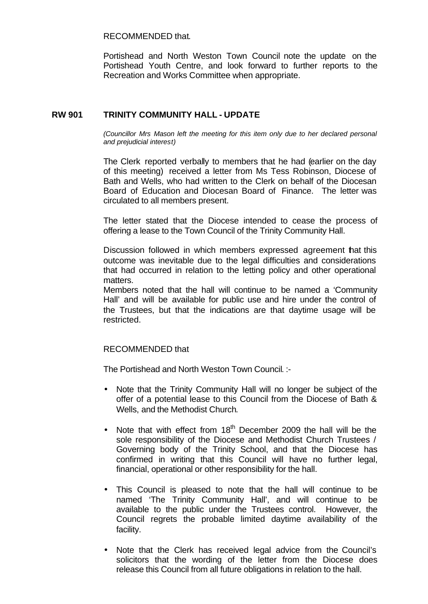#### RECOMMENDED that.

Portishead and North Weston Town Council note the update on the Portishead Youth Centre, and look forward to further reports to the Recreation and Works Committee when appropriate.

## **RW 901 TRINITY COMMUNITY HALL - UPDATE**

*(Councillor Mrs Mason left the meeting for this item only due to her declared personal and prejudicial interest)*

The Clerk reported verbally to members that he had (earlier on the day of this meeting) received a letter from Ms Tess Robinson, Diocese of Bath and Wells, who had written to the Clerk on behalf of the Diocesan Board of Education and Diocesan Board of Finance. The letter was circulated to all members present.

The letter stated that the Diocese intended to cease the process of offering a lease to the Town Council of the Trinity Community Hall.

Discussion followed in which members expressed agreement that this outcome was inevitable due to the legal difficulties and considerations that had occurred in relation to the letting policy and other operational matters.

Members noted that the hall will continue to be named a 'Community Hall' and will be available for public use and hire under the control of the Trustees, but that the indications are that daytime usage will be restricted.

### RECOMMENDED that

The Portishead and North Weston Town Council. :-

- Note that the Trinity Community Hall will no longer be subject of the offer of a potential lease to this Council from the Diocese of Bath & Wells, and the Methodist Church.
- Note that with effect from  $18<sup>th</sup>$  December 2009 the hall will be the sole responsibility of the Diocese and Methodist Church Trustees / Governing body of the Trinity School, and that the Diocese has confirmed in writing that this Council will have no further legal, financial, operational or other responsibility for the hall.
- This Council is pleased to note that the hall will continue to be named 'The Trinity Community Hall', and will continue to be available to the public under the Trustees control. However, the Council regrets the probable limited daytime availability of the facility.
- Note that the Clerk has received legal advice from the Council's solicitors that the wording of the letter from the Diocese does release this Council from all future obligations in relation to the hall.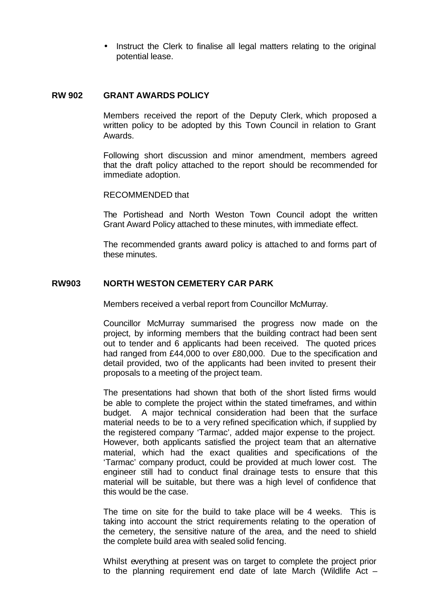• Instruct the Clerk to finalise all legal matters relating to the original potential lease.

#### **RW 902 GRANT AWARDS POLICY**

Members received the report of the Deputy Clerk, which proposed a written policy to be adopted by this Town Council in relation to Grant Awards.

Following short discussion and minor amendment, members agreed that the draft policy attached to the report should be recommended for immediate adoption.

#### RECOMMENDED that

The Portishead and North Weston Town Council adopt the written Grant Award Policy attached to these minutes, with immediate effect.

The recommended grants award policy is attached to and forms part of these minutes.

#### **RW903 NORTH WESTON CEMETERY CAR PARK**

Members received a verbal report from Councillor McMurray.

Councillor McMurray summarised the progress now made on the project, by informing members that the building contract had been sent out to tender and 6 applicants had been received. The quoted prices had ranged from £44,000 to over £80,000. Due to the specification and detail provided, two of the applicants had been invited to present their proposals to a meeting of the project team.

The presentations had shown that both of the short listed firms would be able to complete the project within the stated timeframes, and within budget. A major technical consideration had been that the surface material needs to be to a very refined specification which, if supplied by the registered company 'Tarmac', added major expense to the project. However, both applicants satisfied the project team that an alternative material, which had the exact qualities and specifications of the 'Tarmac' company product, could be provided at much lower cost. The engineer still had to conduct final drainage tests to ensure that this material will be suitable, but there was a high level of confidence that this would be the case.

The time on site for the build to take place will be 4 weeks. This is taking into account the strict requirements relating to the operation of the cemetery, the sensitive nature of the area, and the need to shield the complete build area with sealed solid fencing.

Whilst everything at present was on target to complete the project prior to the planning requirement end date of late March (Wildlife Act –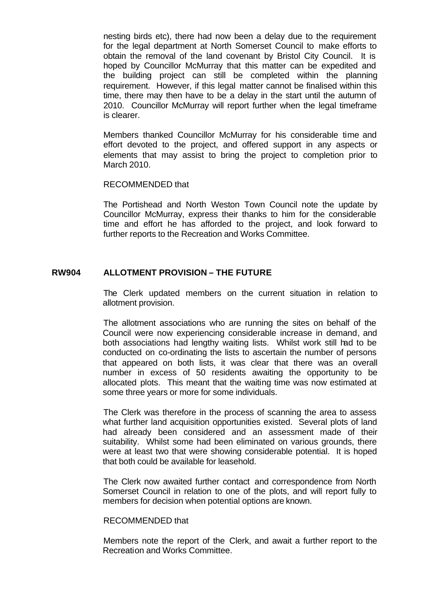nesting birds etc), there had now been a delay due to the requirement for the legal department at North Somerset Council to make efforts to obtain the removal of the land covenant by Bristol City Council. It is hoped by Councillor McMurray that this matter can be expedited and the building project can still be completed within the planning requirement. However, if this legal matter cannot be finalised within this time, there may then have to be a delay in the start until the autumn of 2010. Councillor McMurray will report further when the legal timeframe is clearer.

Members thanked Councillor McMurray for his considerable time and effort devoted to the project, and offered support in any aspects or elements that may assist to bring the project to completion prior to March 2010.

#### RECOMMENDED that

The Portishead and North Weston Town Council note the update by Councillor McMurray, express their thanks to him for the considerable time and effort he has afforded to the project, and look forward to further reports to the Recreation and Works Committee.

## **RW904 ALLOTMENT PROVISION – THE FUTURE**

The Clerk updated members on the current situation in relation to allotment provision.

The allotment associations who are running the sites on behalf of the Council were now experiencing considerable increase in demand, and both associations had lengthy waiting lists. Whilst work still had to be conducted on co-ordinating the lists to ascertain the number of persons that appeared on both lists, it was clear that there was an overall number in excess of 50 residents awaiting the opportunity to be allocated plots. This meant that the waiting time was now estimated at some three years or more for some individuals.

The Clerk was therefore in the process of scanning the area to assess what further land acquisition opportunities existed. Several plots of land had already been considered and an assessment made of their suitability. Whilst some had been eliminated on various grounds, there were at least two that were showing considerable potential. It is hoped that both could be available for leasehold.

The Clerk now awaited further contact and correspondence from North Somerset Council in relation to one of the plots, and will report fully to members for decision when potential options are known.

#### RECOMMENDED that

Members note the report of the Clerk, and await a further report to the Recreation and Works Committee.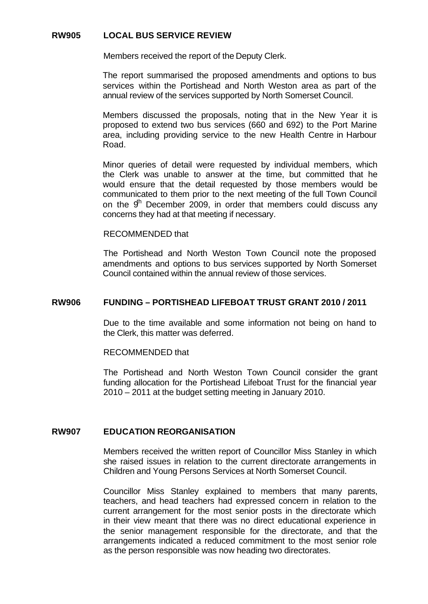## **RW905 LOCAL BUS SERVICE REVIEW**

Members received the report of the Deputy Clerk.

The report summarised the proposed amendments and options to bus services within the Portishead and North Weston area as part of the annual review of the services supported by North Somerset Council.

Members discussed the proposals, noting that in the New Year it is proposed to extend two bus services (660 and 692) to the Port Marine area, including providing service to the new Health Centre in Harbour Road.

Minor queries of detail were requested by individual members, which the Clerk was unable to answer at the time, but committed that he would ensure that the detail requested by those members would be communicated to them prior to the next meeting of the full Town Council on the  $9<sup>th</sup>$  December 2009, in order that members could discuss any concerns they had at that meeting if necessary.

#### RECOMMENDED that

The Portishead and North Weston Town Council note the proposed amendments and options to bus services supported by North Somerset Council contained within the annual review of those services.

#### **RW906 FUNDING – PORTISHEAD LIFEBOAT TRUST GRANT 2010 / 2011**

Due to the time available and some information not being on hand to the Clerk, this matter was deferred.

#### RECOMMENDED that

The Portishead and North Weston Town Council consider the grant funding allocation for the Portishead Lifeboat Trust for the financial year 2010 – 2011 at the budget setting meeting in January 2010.

#### **RW907 EDUCATION REORGANISATION**

Members received the written report of Councillor Miss Stanley in which she raised issues in relation to the current directorate arrangements in Children and Young Persons Services at North Somerset Council.

Councillor Miss Stanley explained to members that many parents, teachers, and head teachers had expressed concern in relation to the current arrangement for the most senior posts in the directorate which in their view meant that there was no direct educational experience in the senior management responsible for the directorate, and that the arrangements indicated a reduced commitment to the most senior role as the person responsible was now heading two directorates.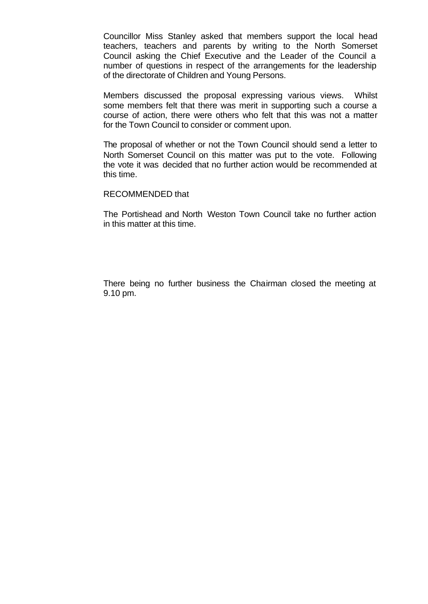Councillor Miss Stanley asked that members support the local head teachers, teachers and parents by writing to the North Somerset Council asking the Chief Executive and the Leader of the Council a number of questions in respect of the arrangements for the leadership of the directorate of Children and Young Persons.

Members discussed the proposal expressing various views. Whilst some members felt that there was merit in supporting such a course a course of action, there were others who felt that this was not a matter for the Town Council to consider or comment upon.

The proposal of whether or not the Town Council should send a letter to North Somerset Council on this matter was put to the vote. Following the vote it was decided that no further action would be recommended at this time.

#### RECOMMENDED that

The Portishead and North Weston Town Council take no further action in this matter at this time.

There being no further business the Chairman closed the meeting at 9.10 pm.